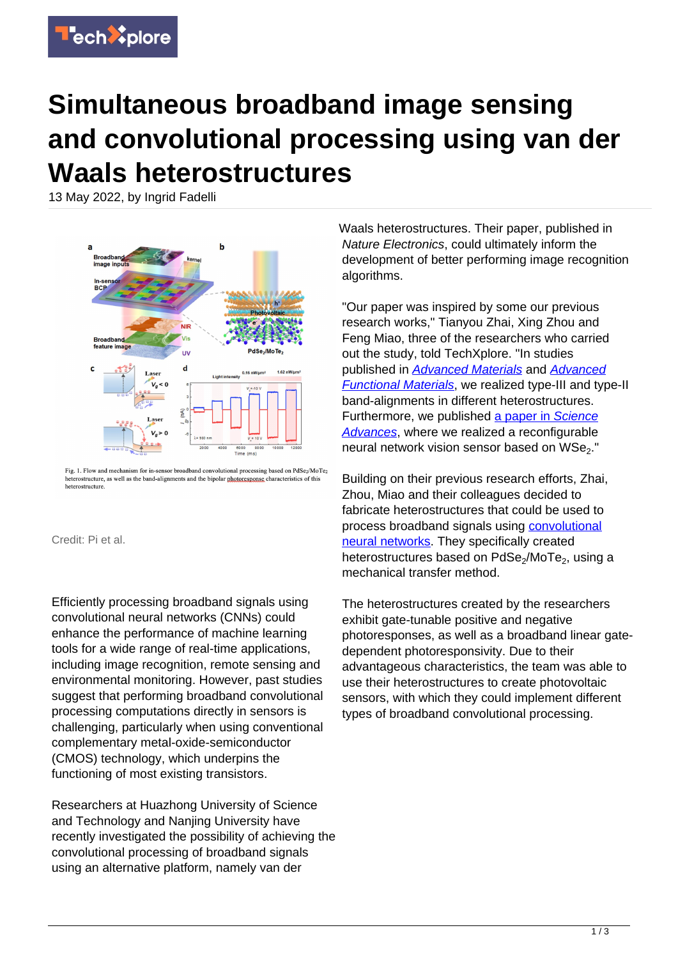

## **Simultaneous broadband image sensing and convolutional processing using van der Waals heterostructures**

13 May 2022, by Ingrid Fadelli



Fig. 1. Flow and mechanism for in-sensor broadband convolutional processing based on PdSe<sub>2</sub>/MoTe<sub>2</sub> heterostructure, as well as the band-alignments and the bipolar photoresponse characteristics of this heterostructure

Credit: Pi et al.

Efficiently processing broadband signals using convolutional neural networks (CNNs) could enhance the performance of machine learning tools for a wide range of real-time applications, including image recognition, remote sensing and environmental monitoring. However, past studies suggest that performing broadband convolutional processing computations directly in sensors is challenging, particularly when using conventional complementary metal-oxide-semiconductor (CMOS) technology, which underpins the functioning of most existing transistors.

Researchers at Huazhong University of Science and Technology and Nanjing University have recently investigated the possibility of achieving the convolutional processing of broadband signals using an alternative platform, namely van der

Waals heterostructures. Their paper, published in Nature Electronics, could ultimately inform the development of better performing image recognition algorithms.

"Our paper was inspired by some our previous research works," Tianyou Zhai, Xing Zhou and Feng Miao, three of the researchers who carried out the study, told TechXplore. "In studies published in [Advanced Materials](https://onlinelibrary.wiley.com/doi/abs/10.1002/adma.201703286) and [Advanced](https://onlinelibrary.wiley.com/doi/abs/10.1002/adfm.202006166) [Functional Materials](https://onlinelibrary.wiley.com/doi/abs/10.1002/adfm.202006166), we realized type-III and type-II band-alignments in different heterostructures. Furthermore, we published [a paper in](https://www.science.org/doi/10.1126/sciadv.aba6173) [Science](https://www.science.org/doi/10.1126/sciadv.aba6173) [Advances](https://www.science.org/doi/10.1126/sciadv.aba6173), where we realized a reconfigurable neural network vision sensor based on  $WSe<sub>2</sub>$ ."

Building on their previous research efforts, Zhai, Zhou, Miao and their colleagues decided to fabricate heterostructures that could be used to process broadband signals using [convolutional](https://techxplore.com/tags/convolutional+neural+networks/) [neural networks](https://techxplore.com/tags/convolutional+neural+networks/). They specifically created heterostructures based on PdSe<sub>2</sub>/MoTe<sub>2</sub>, using a mechanical transfer method.

The heterostructures created by the researchers exhibit gate-tunable positive and negative photoresponses, as well as a broadband linear gatedependent photoresponsivity. Due to their advantageous characteristics, the team was able to use their heterostructures to create photovoltaic sensors, with which they could implement different types of broadband convolutional processing.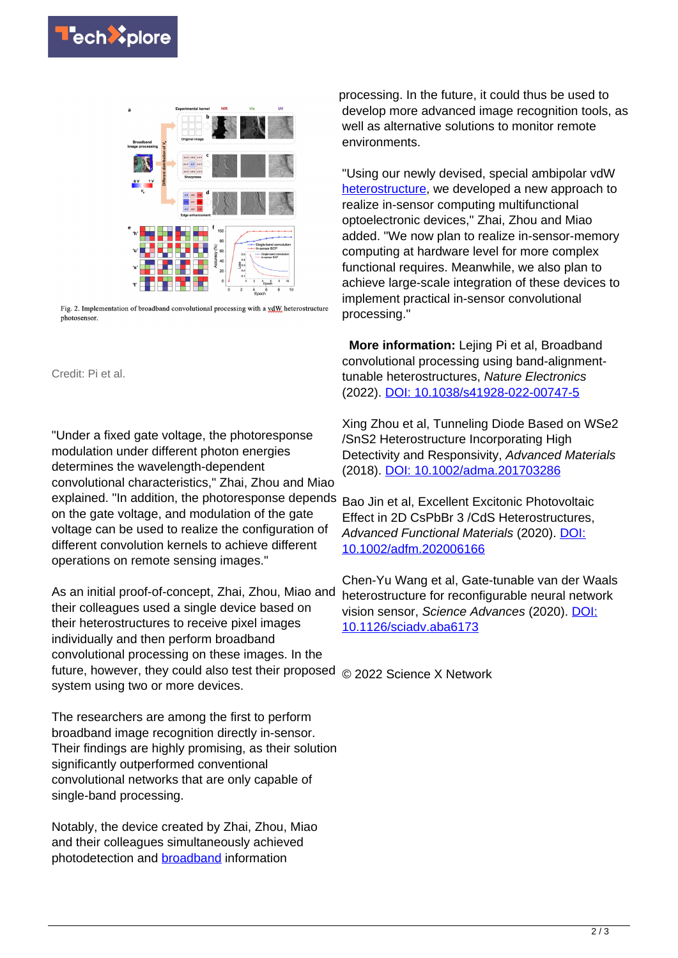



Fig. 2. Implementation of broadband convolutional processing with a vdW heterostructure photosensor

Credit: Pi et al.

"Under a fixed gate voltage, the photoresponse modulation under different photon energies determines the wavelength-dependent convolutional characteristics," Zhai, Zhou and Miao explained. "In addition, the photoresponse depends on the gate voltage, and modulation of the gate voltage can be used to realize the configuration of different convolution kernels to achieve different operations on remote sensing images."

As an initial proof-of-concept, Zhai, Zhou, Miao and their colleagues used a single device based on their heterostructures to receive pixel images individually and then perform broadband convolutional processing on these images. In the future, however, they could also test their proposed © 2022 Science X Network system using two or more devices.

The researchers are among the first to perform broadband image recognition directly in-sensor. Their findings are highly promising, as their solution significantly outperformed conventional convolutional networks that are only capable of single-band processing.

Notably, the device created by Zhai, Zhou, Miao and their colleagues simultaneously achieved photodetection and [broadband](https://techxplore.com/tags/broadband/) information

processing. In the future, it could thus be used to develop more advanced image recognition tools, as well as alternative solutions to monitor remote environments.

"Using our newly devised, special ambipolar vdW [heterostructure](https://techxplore.com/tags/heterostructure/), we developed a new approach to realize in-sensor computing multifunctional optoelectronic devices," Zhai, Zhou and Miao added. "We now plan to realize in-sensor-memory computing at hardware level for more complex functional requires. Meanwhile, we also plan to achieve large-scale integration of these devices to implement practical in-sensor convolutional processing."

 **More information:** Lejing Pi et al, Broadband convolutional processing using band-alignmenttunable heterostructures, Nature Electronics (2022). [DOI: 10.1038/s41928-022-00747-5](https://dx.doi.org/10.1038/s41928-022-00747-5)

Xing Zhou et al, Tunneling Diode Based on WSe2 /SnS2 Heterostructure Incorporating High Detectivity and Responsivity, Advanced Materials (2018). [DOI: 10.1002/adma.201703286](https://dx.doi.org/10.1002/adma.201703286)

Bao Jin et al, Excellent Excitonic Photovoltaic Effect in 2D CsPbBr 3 /CdS Heterostructures, Advanced Functional Materials (2020). [DOI:](https://dx.doi.org/10.1002/adfm.202006166) [10.1002/adfm.202006166](https://dx.doi.org/10.1002/adfm.202006166)

Chen-Yu Wang et al, Gate-tunable van der Waals heterostructure for reconfigurable neural network vision sensor, Science Advances (2020). [DOI:](https://dx.doi.org/10.1126/sciadv.aba6173) [10.1126/sciadv.aba6173](https://dx.doi.org/10.1126/sciadv.aba6173)